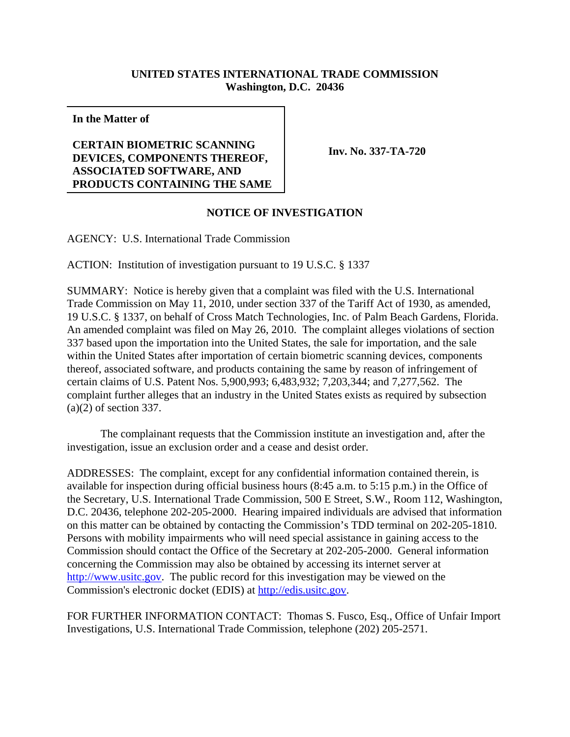## **UNITED STATES INTERNATIONAL TRADE COMMISSION Washington, D.C. 20436**

**In the Matter of**

## **CERTAIN BIOMETRIC SCANNING DEVICES, COMPONENTS THEREOF, ASSOCIATED SOFTWARE, AND PRODUCTS CONTAINING THE SAME**

**Inv. No. 337-TA-720**

## **NOTICE OF INVESTIGATION**

AGENCY: U.S. International Trade Commission

ACTION: Institution of investigation pursuant to 19 U.S.C. § 1337

SUMMARY: Notice is hereby given that a complaint was filed with the U.S. International Trade Commission on May 11, 2010, under section 337 of the Tariff Act of 1930, as amended, 19 U.S.C. § 1337, on behalf of Cross Match Technologies, Inc. of Palm Beach Gardens, Florida. An amended complaint was filed on May 26, 2010. The complaint alleges violations of section 337 based upon the importation into the United States, the sale for importation, and the sale within the United States after importation of certain biometric scanning devices, components thereof, associated software, and products containing the same by reason of infringement of certain claims of U.S. Patent Nos. 5,900,993; 6,483,932; 7,203,344; and 7,277,562. The complaint further alleges that an industry in the United States exists as required by subsection (a)(2) of section 337.

The complainant requests that the Commission institute an investigation and, after the investigation, issue an exclusion order and a cease and desist order.

ADDRESSES: The complaint, except for any confidential information contained therein, is available for inspection during official business hours (8:45 a.m. to 5:15 p.m.) in the Office of the Secretary, U.S. International Trade Commission, 500 E Street, S.W., Room 112, Washington, D.C. 20436, telephone 202-205-2000. Hearing impaired individuals are advised that information on this matter can be obtained by contacting the Commission's TDD terminal on 202-205-1810. Persons with mobility impairments who will need special assistance in gaining access to the Commission should contact the Office of the Secretary at 202-205-2000. General information concerning the Commission may also be obtained by accessing its internet server at http://www.usitc.gov. The public record for this investigation may be viewed on the Commission's electronic docket (EDIS) at http://edis.usitc.gov.

FOR FURTHER INFORMATION CONTACT: Thomas S. Fusco, Esq., Office of Unfair Import Investigations, U.S. International Trade Commission, telephone (202) 205-2571.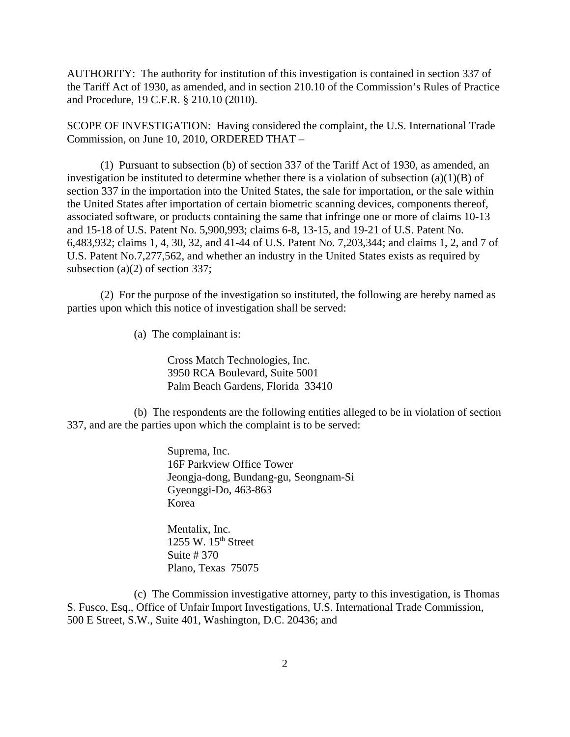AUTHORITY: The authority for institution of this investigation is contained in section 337 of the Tariff Act of 1930, as amended, and in section 210.10 of the Commission's Rules of Practice and Procedure, 19 C.F.R. § 210.10 (2010).

SCOPE OF INVESTIGATION: Having considered the complaint, the U.S. International Trade Commission, on June 10, 2010, ORDERED THAT –

(1) Pursuant to subsection (b) of section 337 of the Tariff Act of 1930, as amended, an investigation be instituted to determine whether there is a violation of subsection  $(a)(1)(B)$  of section 337 in the importation into the United States, the sale for importation, or the sale within the United States after importation of certain biometric scanning devices, components thereof, associated software, or products containing the same that infringe one or more of claims 10-13 and 15-18 of U.S. Patent No. 5,900,993; claims 6-8, 13-15, and 19-21 of U.S. Patent No. 6,483,932; claims 1, 4, 30, 32, and 41-44 of U.S. Patent No. 7,203,344; and claims 1, 2, and 7 of U.S. Patent No.7,277,562, and whether an industry in the United States exists as required by subsection (a)(2) of section 337;

(2) For the purpose of the investigation so instituted, the following are hereby named as parties upon which this notice of investigation shall be served:

(a) The complainant is:

Cross Match Technologies, Inc. 3950 RCA Boulevard, Suite 5001 Palm Beach Gardens, Florida 33410

(b) The respondents are the following entities alleged to be in violation of section 337, and are the parties upon which the complaint is to be served:

> Suprema, Inc. 16F Parkview Office Tower Jeongja-dong, Bundang-gu, Seongnam-Si Gyeonggi-Do, 463-863 Korea

Mentalix, Inc. 1255 W.  $15<sup>th</sup>$  Street Suite # 370 Plano, Texas 75075

(c) The Commission investigative attorney, party to this investigation, is Thomas S. Fusco, Esq., Office of Unfair Import Investigations, U.S. International Trade Commission, 500 E Street, S.W., Suite 401, Washington, D.C. 20436; and